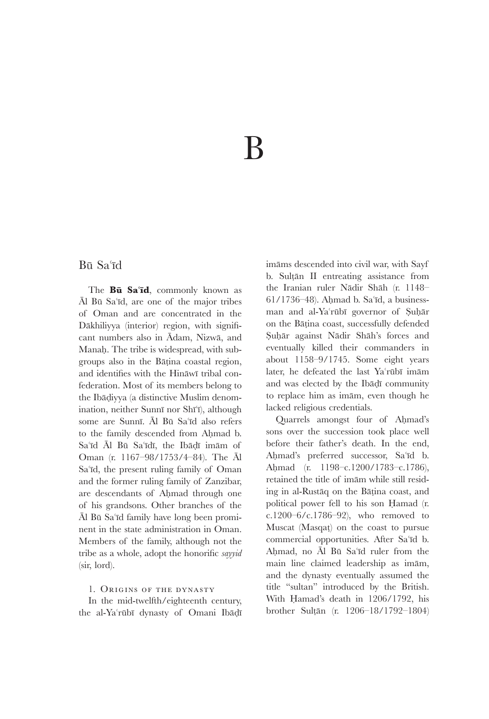# B

### Bū Sa'īd

The **Bu** Sa'id, commonly known as Al Bū Sa'īd, are one of the major tribes of Oman and are concentrated in the Dākhiliyya (interior) region, with significant numbers also in  $\bar{A}$ dam, Nizwā, and Manah. The tribe is widespread, with subgroups also in the Bāṭina coastal region, and identifies with the Hināwī tribal confederation. Most of its members belong to the Ibāḍiyya (a distinctive Muslim denomination, neither Sunnī nor Shī'ī), although some are Sunnī. Āl Bū Sa'īd also refers to the family descended from Amad b. Sa'īd Āl Bū Sa'īdī, the Ibādī imām of Oman (r. 1167–98/1753/4–84). The Al Sa'id, the present ruling family of Oman and the former ruling family of Zanzibar, are descendants of Amad through one of his grandsons. Other branches of the Āl Bū Sa'īd family have long been prominent in the state administration in Oman. Members of the family, although not the tribe as a whole, adopt the honorific *sayyid* (sir, lord).

### 1. Origins of the dynasty

In the mid-twelfth/eighteenth century, the al-Ya'rūbī dynasty of Omani Ibādī imāms descended into civil war, with Sayf b. Sultān II entreating assistance from the Iranian ruler Nādir Shāh (r. 1148–  $61/1736-48$ ). Ahmad b. Sa'īd, a businessman and al-Ya'rūbī governor of Suhār on the Bātina coast, successfully defended Suḥār against Nādir Shāh's forces and eventually killed their commanders in about 1158–9/1745. Some eight years later, he defeated the last Ya'rūbī imām and was elected by the Ibadi community to replace him as imam, even though he lacked religious credentials.

Quarrels amongst four of Amad's sons over the succession took place well before their father's death. In the end, Ahmad's preferred successor, Sa'īd b. Amad (r. 1198–c.1200/1783–c.1786), retained the title of imam while still residing in al-Rustaq on the Batina coast, and political power fell to his son Hamad (r. c.1200–6/c.1786–92), who removed to Muscat (Masqat) on the coast to pursue commercial opportunities. After Sa'id b. Ahmad, no Al Bū Sa'īd ruler from the main line claimed leadership as imām, and the dynasty eventually assumed the title "sultan" introduced by the British. With Hamad's death in 1206/1792, his brother Sultān (r. 1206-18/1792-1804)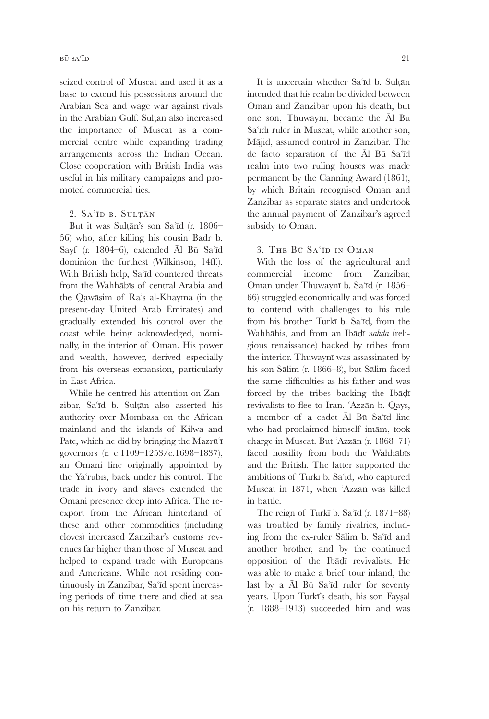seized control of Muscat and used it as a base to extend his possessions around the Arabian Sea and wage war against rivals in the Arabian Gulf. Sultān also increased the importance of Muscat as a commercial centre while expanding trading arrangements across the Indian Ocean. Close cooperation with British India was useful in his military campaigns and promoted commercial ties.

### $2. S_A$ <sup>TD</sup> B. SULTAN

But it was Sultān's son Sa'īd (r. 1806– 56) who, after killing his cousin Badr b. Sayf (r. 1804–6), extended Āl Bū Sa'īd dominion the furthest (Wilkinson, 14ff.). With British help, Sa'īd countered threats from the Wahhābīs of central Arabia and the Qawāsim of Ra's al-Khayma (in the present-day United Arab Emirates) and gradually extended his control over the coast while being acknowledged, nominally, in the interior of Oman. His power and wealth, however, derived especially from his overseas expansion, particularly in East Africa.

While he centred his attention on Zanzibar, Sa'īd b. Sultān also asserted his authority over Mombasa on the African mainland and the islands of Kilwa and Pate, which he did by bringing the Mazr governors (r. c.1109–1253/c.1698–1837), an Omani line originally appointed by the Ya'rūbīs, back under his control. The trade in ivory and slaves extended the Omani presence deep into Africa. The reexport from the African hinterland of these and other commodities (including cloves) increased Zanzibar's customs revenues far higher than those of Muscat and helped to expand trade with Europeans and Americans. While not residing continuously in Zanzibar, Sa'īd spent increasing periods of time there and died at sea on his return to Zanzibar.

It is uncertain whether Sa'īd b. Sultān intended that his realm be divided between Oman and Zanzibar upon his death, but one son, Thuwaynī, became the Āl Bū Sa'idī ruler in Muscat, while another son, Māiid, assumed control in Zanzibar. The de facto separation of the Al Bū Sa'īd realm into two ruling houses was made permanent by the Canning Award (1861), by which Britain recognised Oman and Zanzibar as separate states and undertook

#### 3. The Bū Sa'īd in Oman

subsidy to Oman.

the annual payment of Zanzibar's agreed

With the loss of the agricultural and commercial income from Zanzibar, Oman under Thuwaynī b. Sa'īd (r. 1856– 66) struggled economically and was forced to contend with challenges to his rule from his brother Turkī b. Sa'īd, from the Wahhābis, and from an Ibādī nahda (religious renaissance) backed by tribes from the interior. Thuwaynī was assassinated by his son Sālim (r. 1866–8), but Sālim faced the same difficulties as his father and was forced by the tribes backing the Ib revivalists to flee to Iran. 'Azzān b. Qays, a member of a cadet  $\bar{A}$ l Bū Sa'īd line who had proclaimed himself imām, took charge in Muscat. But 'Azzān (r. 1868–71) faced hostility from both the Wahhabis and the British. The latter supported the ambitions of Turkī b. Sa'īd, who captured Muscat in 1871, when 'Azzān was killed in battle.

The reign of Turkī b. Sa'īd (r. 1871–88) was troubled by family rivalries, including from the ex-ruler Sālim b. Sa'īd and another brother, and by the continued opposition of the Ibadi revivalists. He was able to make a brief tour inland, the last by a  $\bar{A}$ l Bū Sa'īd ruler for seventy years. Upon Turk's death, his son Fayal (r. 1888–1913) succeeded him and was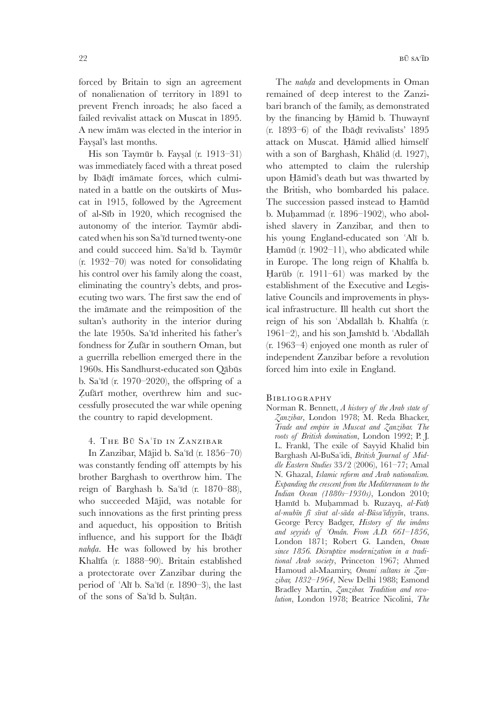forced by Britain to sign an agreement of nonalienation of territory in 1891 to prevent French inroads; he also faced a failed revivalist attack on Muscat in 1895. A new imam was elected in the interior in Fayal's last months.

His son Taymūr b. Faysal (r. 1913–31) was immediately faced with a threat posed by Ibadī imāmate forces, which culminated in a battle on the outskirts of Muscat in 1915, followed by the Agreement of al-Sīb in 1920, which recognised the autonomy of the interior. Taymūr abdicated when his son Sa'īd turned twenty-one and could succeed him. Sa'īd b. Taymūr (r. 1932–70) was noted for consolidating his control over his family along the coast, eliminating the country's debts, and prosecuting two wars. The first saw the end of the immate and the reimposition of the sultan's authority in the interior during the late 1950s. Sa'id inherited his father's fondness for Zufär in southern Oman, but a guerrilla rebellion emerged there in the 1960s. His Sandhurst-educated son Qābūs b. Sa'īd (r. 1970–2020), the offspring of a Zufärī mother, overthrew him and successfully prosecuted the war while opening the country to rapid development.

### 4. The Bū Sa'īd in Zanzibar

In Zanzibar, Mājid b. Sa'īd (r. 1856–70) was constantly fending off attempts by his brother Barghash to overthrow him. The reign of Barghash b. Sa'īd (r. 1870–88), who succeeded Mājid, was notable for such innovations as the first printing press and aqueduct, his opposition to British influence, and his support for the Ib *naha*. He was followed by his brother Khalfa (r. 1888–90). Britain established a protectorate over Zanzibar during the period of 'Alī b. Sa'īd (r. 1890–3), the last of the sons of Sa'id b. Sultān.

The *naha* and developments in Oman remained of deep interest to the Zanzibari branch of the family, as demonstrated by the financing by Hāmid b. Thuwaynī  $(r. 1893-6)$  of the Ibadi revivalists' 1895 attack on Muscat. Hāmid allied himself with a son of Barghash, Khālid (d. 1927), who attempted to claim the rulership upon Hāmid's death but was thwarted by the British, who bombarded his palace. The succession passed instead to Hamūd b. Muhammad (r. 1896–1902), who abolished slavery in Zanzibar, and then to his young England-educated son 'Alī b. Hamūd (r. 1902–11), who abdicated while in Europe. The long reign of Khalfa b. Harūb (r. 1911–61) was marked by the establishment of the Executive and Legislative Councils and improvements in physical infrastructure. Ill health cut short the reign of his son 'Abdallāh b. Khalīfa (r.  $1961-2$ ), and his son Jamshīd b. 'Abdallāh (r. 1963–4) enjoyed one month as ruler of independent Zanzibar before a revolution forced him into exile in England.

#### **BIBLIOGRAPHY**

Norman R. Bennett, *A history of the Arab state of Zanzibar*, London 1978; M. Reda Bhacker, *Trade and empire in Muscat and Zanzibar. The roots of British domination*, London 1992; P. J. L. Frankl, The exile of Sayyid Khalid bin Barghash Al-BuSaidi, *British Journal of Middle Eastern Studies* 33/2 (2006), 161–77; Amal N. Ghazal, *Islamic reform and Arab nationalism. Expanding the crescent from the Mediterranean to the Indian Ocean (1880s–1930s)*, London 2010; Hamīd b. Muhammad b. Ruzayq, al-Fath *al-mubn f srat al-sda al-Bsadiyyn*, trans. George Percy Badger, *History of the imâms and seyyids of Omân. From A.D. 661–1856*, London 1871; Robert G. Landen, *Oman since 1856. Disruptive modernization in a traditional Arab society*, Princeton 1967; Ahmed Hamoud al-Maamiry, *Omani sultans in Zanzibar, 1832–1964*, New Delhi 1988; Esmond Bradley Martin, *Zanzibar. Tradition and revolution*, London 1978; Beatrice Nicolini, *The*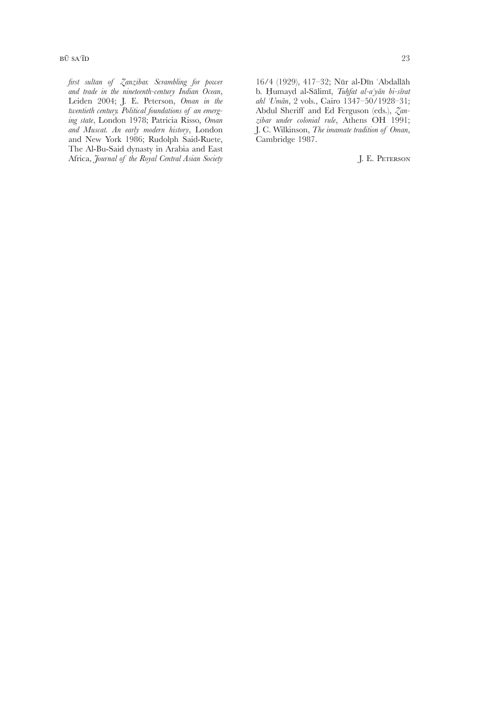*first sultan of Zanzibar. Scrambling for power and trade in the nineteenth-century Indian Ocean*, Leiden 2004; J. E. Peterson, *Oman in the twentieth century. Political foundations of an emerging state*, London 1978; Patricia Risso, *Oman and Muscat. An early modern history*, London and New York 1986; Rudolph Said-Ruete, The Al-Bu-Said dynasty in Arabia and East Africa, *Journal of the Royal Central Asian Society*

16/4 (1929), 417-32; Nūr al-Dīn 'Abdallāh b. umayd al-Slim, *Tufat al-ayn bi-srat ahl Umn*, 2 vols., Cairo 1347–50/1928–31; Abdul Sheriff and Ed Ferguson (eds.), *Zanzibar under colonial rule*, Athens OH 1991; J. C. Wilkinson, *The imamate tradition of Oman*, Cambridge 1987.

J. E. Peterson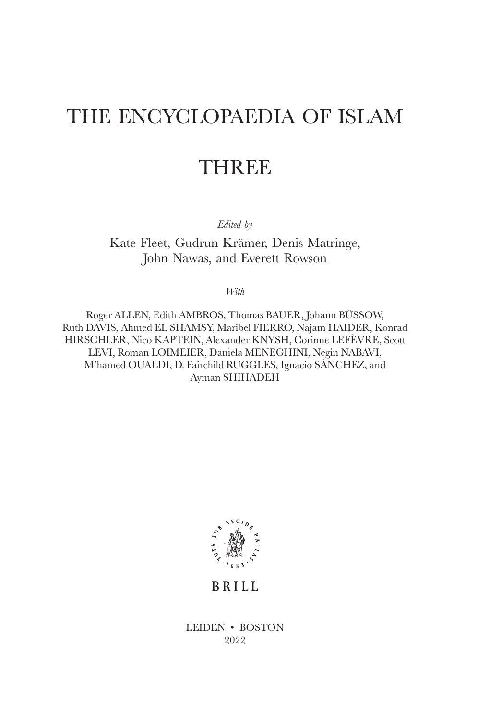# THE ENCYCLOPAEDIA OF ISLAM

# THREE

*Edited by*

Kate Fleet, Gudrun Krämer, Denis Matringe, John Nawas, and Everett Rowson

*With*

Roger ALLEN, Edith AMBROS, Thomas BAUER, Johann BÜSSOW, Ruth DAVIS, Ahmed EL SHAMSY, Maribel FIERRO, Najam HAIDER, Konrad HIRSCHLER, Nico KAPTEIN, Alexander KNYSH, Corinne LEFÈVRE, Scott LEVI, Roman LOIMEIER, Daniela MENEGHINI, Negin NABAVI, M'hamed OUALDI, D. Fairchild RUGGLES, Ignacio SÁNCHEZ, and Ayman SHIHADEH



**BRILL** 

LEIDEN • BOSTON 2022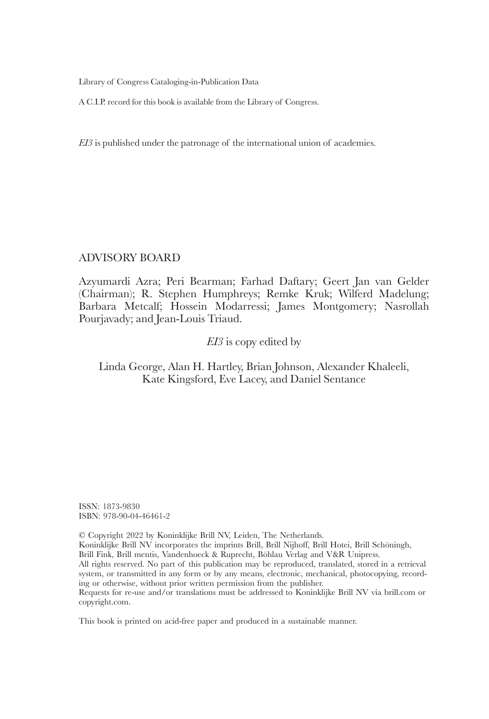Library of Congress Cataloging-in-Publication Data

A C.I.P. record for this book is available from the Library of Congress.

*EI3* is published under the patronage of the international union of academies.

### ADVISORY BOARD

Azyumardi Azra; Peri Bearman; Farhad Daftary; Geert Jan van Gelder (Chairman); R. Stephen Humphreys; Remke Kruk; Wilferd Madelung; Barbara Metcalf; Hossein Modarressi; James Montgomery; Nasrollah Pourjavady; and Jean-Louis Triaud.

### *EI3* is copy edited by

## Linda George, Alan H. Hartley, Brian Johnson, Alexander Khaleeli, Kate Kingsford, Eve Lacey, and Daniel Sentance

ISSN: 1873-9830 ISBN: 978-90-04-46461-2

© Copyright 2022 by Koninklijke Brill NV, Leiden, The Netherlands. Koninklijke Brill NV incorporates the imprints Brill, Brill Nijhoff, Brill Hotei, Brill Schöningh, Brill Fink, Brill mentis, Vandenhoeck & Ruprecht, Böhlau Verlag and V&R Unipress. All rights reserved. No part of this publication may be reproduced, translated, stored in a retrieval system, or transmitted in any form or by any means, electronic, mechanical, photocopying, recording or otherwise, without prior written permission from the publisher. Requests for re-use and/or translations must be addressed to Koninklijke Brill NV via brill.com or copyright.com.

This book is printed on acid-free paper and produced in a sustainable manner.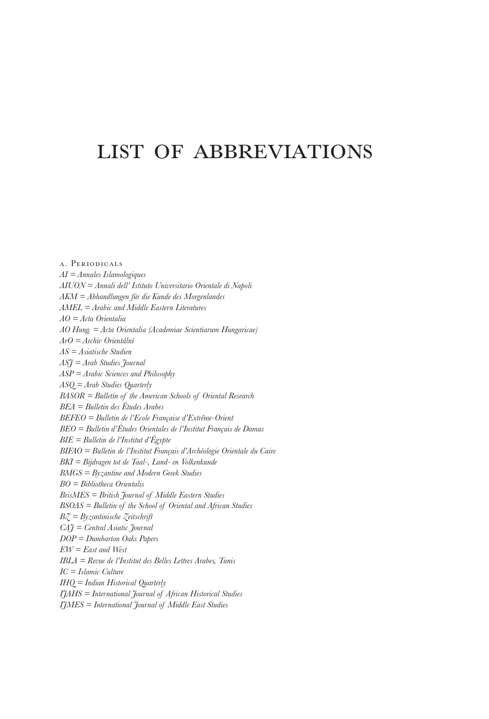# list of abbreviations

a. Periodicals *AI = Annales Islamologiques AIUON = Annali dell' Istituto Universitario Orientale di Napoli AKM = Abhandlungen für die Kunde des Morgenlandes AMEL = Arabic and Middle Eastern Literatures AO = Acta Orientalia AO Hung. = Acta Orientalia (Academiae Scientiarum Hungaricae) ArO = Archiv Orientální AS = Asiatische Studien ASJ = Arab Studies Journal ASP = Arabic Sciences and Philosophy ASQ = Arab Studies Quarterly BASOR = Bulletin of the American Schools of Oriental Research BEA = Bulletin des Études Arabes BEFEO = Bulletin de l'Ecole Française d'Extrême-Orient BEO = Bulletin d'Études Orientales de l'Institut Français de Damas BIE = Bulletin de l'Institut d'Égypte BIFAO = Bulletin de l'Institut Français d'Archéologie Orientale du Caire BKI = Bijdragen tot de Taal-, Land- en Volkenkunde BMGS = Byzantine and Modern Greek Studies BO = Bibliotheca Orientalis BrisMES = British Journal of Middle Eastern Studies BSOAS = Bulletin of the School of Oriental and African Studies BZ = Byzantinische Zeitschrift CAJ = Central Asiatic Journal DOP = Dumbarton Oaks Papers EW = East and West IBLA = Revue de l'Institut des Belles Lettres Arabes, Tunis IC = Islamic Culture IHQ = Indian Historical Quarterly IJAHS = International Journal of African Historical Studies IJMES = International Journal of Middle East Studies*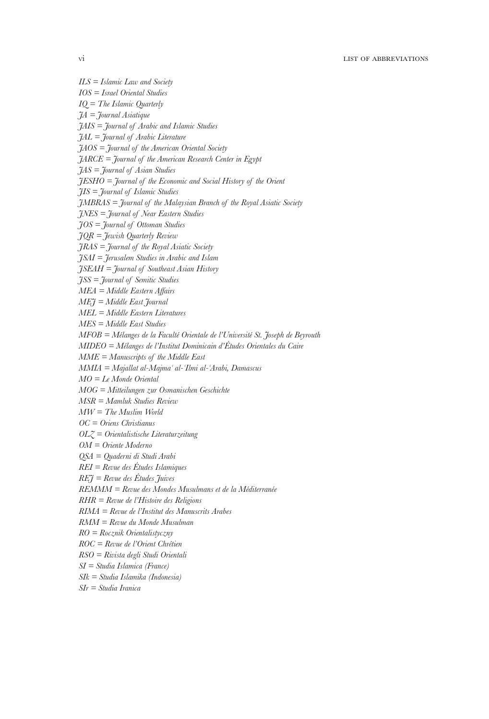```
ILS = Islamic Law and Society
IOS = Israel Oriental Studies
IQ = The Islamic Quarterly
JA = Journal Asiatique
JAIS = Journal of Arabic and Islamic Studies
JAL = Journal of Arabic Literature
JAOS = Journal of the American Oriental Society
JARCE = Journal of the American Research Center in Egypt
JAS = Journal of Asian Studies
JESHO = Journal of the Economic and Social History of the Orient
JIS = Journal of Islamic Studies
JMBRAS = Journal of the Malaysian Branch of the Royal Asiatic Society
JNES = Journal of Near Eastern Studies
JOS = Journal of Ottoman Studies
JQR = Jewish Quarterly Review
JRAS = Journal of the Royal Asiatic Society
JSAI = Jerusalem Studies in Arabic and Islam
JSEAH = Journal of Southeast Asian History
JSS = Journal of Semitic Studies
MEA = Middle Eastern Affairs
MEJ = Middle East Journal
MEL = Middle Eastern Literatures
MES = Middle East Studies
MFOB = Mélanges de la Faculté Orientale de l'Université St. Joseph de Beyrouth
MIDEO = Mélanges de l'Institut Dominicain d'Études Orientales du Caire
MME = Manuscripts of the Middle East
MMIA = Majallat al-Majma al-Ilmi al-Arabi, Damascus
MO = Le Monde Oriental
MOG = Mitteilungen zur Osmanischen Geschichte
MSR = Mamluk Studies Review
MW = The Muslim World
OC = Oriens Christianus
OLZ = Orientalistische Literaturzeitung
OM = Oriente Moderno
QSA = Quaderni di Studi Arabi
REI = Revue des Études Islamiques
REJ = Revue des Études Juives
REMMM = Revue des Mondes Musulmans et de la Méditerranée
RHR = Revue de l'Histoire des Religions
RIMA = Revue de l'Institut des Manuscrits Arabes
RMM = Revue du Monde Musulman
RO = Rocznik Orientalistyczny
ROC = Revue de l'Orient Chrétien
RSO = Rivista degli Studi Orientali
SI = Studia Islamica (France)
SIk = Studia Islamika (Indonesia)
SIr = Studia Iranica
```